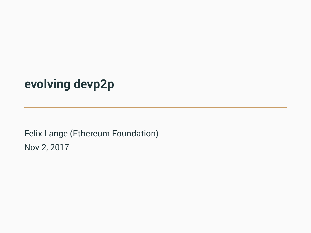**evolving devp2p**

Felix Lange (Ethereum Foundation) Nov 2, 2017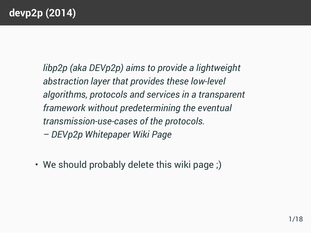## **devp2p (2014)**

*libp2p (aka DEVp2p) aims to provide a lightweight abstraction layer that provides these low-level algorithms, protocols and services in a transparent framework without predetermining the eventual transmission-use-cases of the protocols. – DEVp2p Whitepaper Wiki Page*

• We should probably delete this wiki page ;)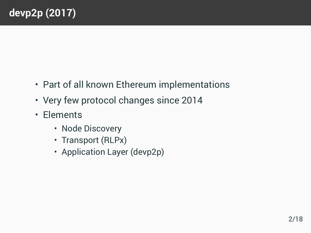- Part of all known Ethereum implementations
- Very few protocol changes since 2014
- Elements
	- Node Discovery
	- Transport (RLPx)
	- Application Layer (devp2p)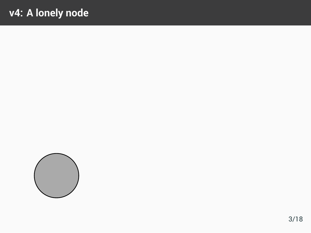## v4: A lonely node

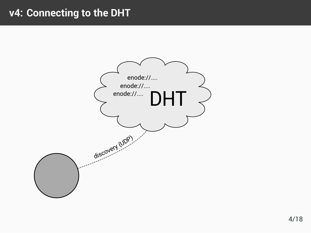#### v4: Connecting to the DHT

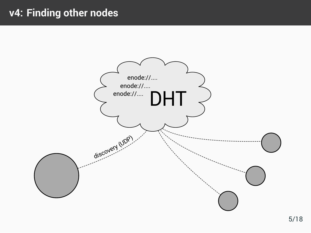### v4: Finding other nodes

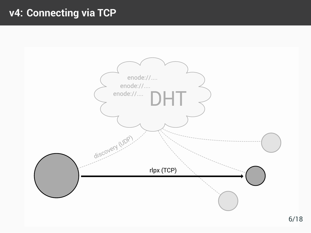## **v4: Connecting via TCP**

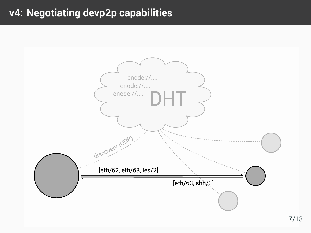#### v4: Negotiating devp2p capabilities

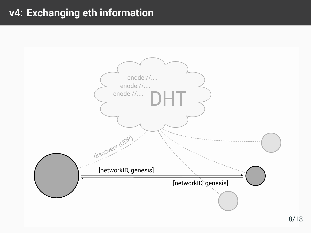### v4: Exchanging eth information

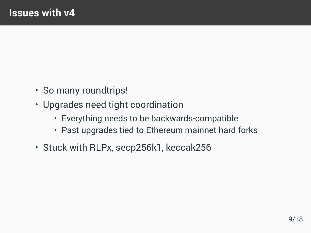- So many roundtrips!
- Upgrades need tight coordination
	- Everything needs to be backwards-compatible
	- Past upgrades tied to Ethereum mainnet hard forks
- Stuck with RLPx, secp256k1, keccak256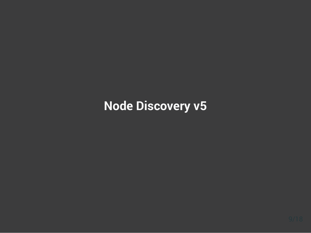# **Node Discovery v5**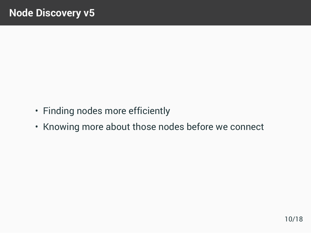- Finding nodes more efficiently
- Knowing more about those nodes before we connect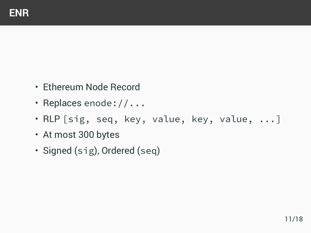- Ethereum Node Record
- Replaces enode://...
- RLP [sig, seq, key, value, key, value, ...]
- At most 300 bytes
- Signed (sig), Ordered (seq)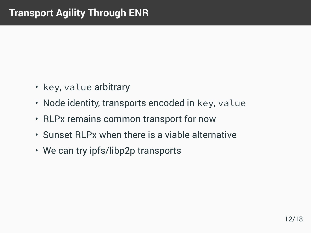- key, value arbitrary
- Node identity, transports encoded in key, value
- RLPx remains common transport for now
- Sunset RLPx when there is a viable alternative
- We can try ipfs/libp2p transports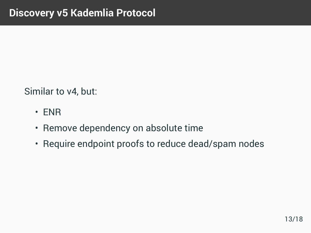Similar to v4, but:

- ENR
- Remove dependency on absolute time
- Require endpoint proofs to reduce dead/spam nodes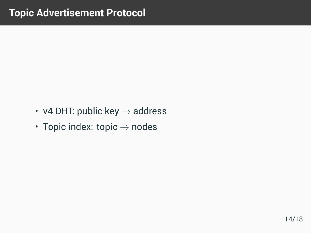- v4 DHT: public key *→* address
- Topic index: topic *→* nodes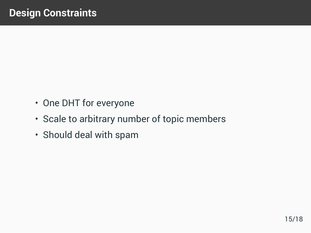- One DHT for everyone
- Scale to arbitrary number of topic members
- Should deal with spam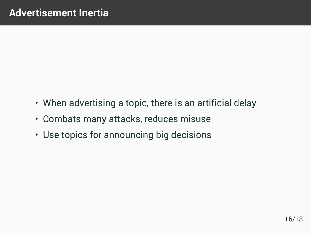- When advertising a topic, there is an artificial delay
- Combats many attacks, reduces misuse
- Use topics for announcing big decisions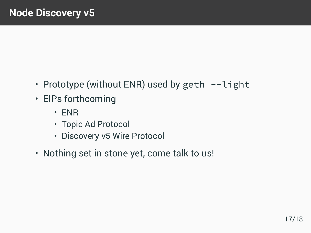- Prototype (without ENR) used by geth --light
- EIPs forthcoming
	- ENR
	- Topic Ad Protocol
	- Discovery v5 Wire Protocol
- Nothing set in stone yet, come talk to us!